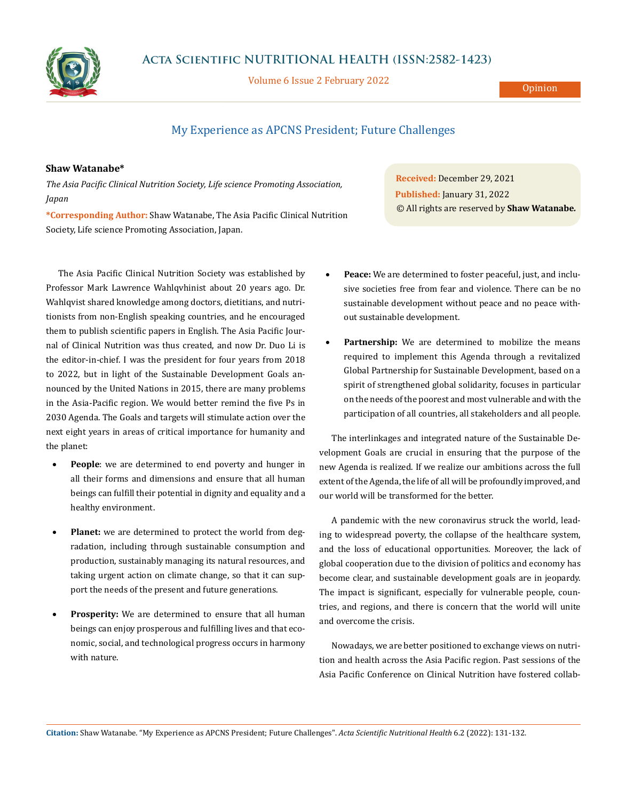

Volume 6 Issue 2 February 2022

## My Experience as APCNS President; Future Challenges

## **Shaw Watanabe\***

*The Asia Pacific Clinical Nutrition Society, Life science Promoting Association, Japan*

**\*Corresponding Author:** Shaw Watanabe, The Asia Pacific Clinical Nutrition Society, Life science Promoting Association, Japan.

The Asia Pacific Clinical Nutrition Society was established by Professor Mark Lawrence Wahlqvhinist about 20 years ago. Dr. Wahlqvist shared knowledge among doctors, dietitians, and nutritionists from non-English speaking countries, and he encouraged them to publish scientific papers in English. The Asia Pacific Journal of Clinical Nutrition was thus created, and now Dr. Duo Li is the editor-in-chief. I was the president for four years from 2018 to 2022, but in light of the Sustainable Development Goals announced by the United Nations in 2015, there are many problems in the Asia-Pacific region. We would better remind the five Ps in 2030 Agenda. The Goals and targets will stimulate action over the next eight years in areas of critical importance for humanity and the planet:

- • **People**: we are determined to end poverty and hunger in all their forms and dimensions and ensure that all human beings can fulfill their potential in dignity and equality and a healthy environment.
- **Planet:** we are determined to protect the world from degradation, including through sustainable consumption and production, sustainably managing its natural resources, and taking urgent action on climate change, so that it can support the needs of the present and future generations.
- Prosperity: We are determined to ensure that all human beings can enjoy prosperous and fulfilling lives and that economic, social, and technological progress occurs in harmony with nature.

**Received:** December 29, 2021 **Published:** January 31, 2022 © All rights are reserved by **Shaw Watanabe***.*

- Peace: We are determined to foster peaceful, just, and inclusive societies free from fear and violence. There can be no sustainable development without peace and no peace without sustainable development.
- Partnership: We are determined to mobilize the means required to implement this Agenda through a revitalized Global Partnership for Sustainable Development, based on a spirit of strengthened global solidarity, focuses in particular on the needs of the poorest and most vulnerable and with the participation of all countries, all stakeholders and all people.

The interlinkages and integrated nature of the Sustainable Development Goals are crucial in ensuring that the purpose of the new Agenda is realized. If we realize our ambitions across the full extent of the Agenda, the life of all will be profoundly improved, and our world will be transformed for the better.

A pandemic with the new coronavirus struck the world, leading to widespread poverty, the collapse of the healthcare system, and the loss of educational opportunities. Moreover, the lack of global cooperation due to the division of politics and economy has become clear, and sustainable development goals are in jeopardy. The impact is significant, especially for vulnerable people, countries, and regions, and there is concern that the world will unite and overcome the crisis.

Nowadays, we are better positioned to exchange views on nutrition and health across the Asia Pacific region. Past sessions of the Asia Pacific Conference on Clinical Nutrition have fostered collab-